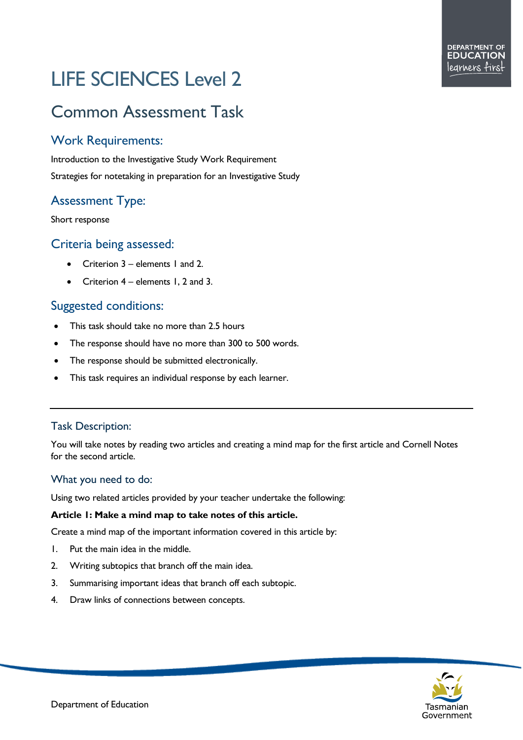# LIFE SCIENCES Level 2

# Common Assessment Task

# Work Requirements:

Introduction to the Investigative Study Work Requirement Strategies for notetaking in preparation for an Investigative Study

# Assessment Type:

Short response

## Criteria being assessed:

- Criterion 3 elements 1 and 2.
- Criterion  $4$  elements 1, 2 and 3.

# Suggested conditions:

- This task should take no more than 2.5 hours
- The response should have no more than 300 to 500 words.
- The response should be submitted electronically.
- This task requires an individual response by each learner.

### Task Description:

You will take notes by reading two articles and creating a mind map for the first article and Cornell Notes for the second article.

#### What you need to do:

Using two related articles provided by your teacher undertake the following:

#### **Article 1: Make a mind map to take notes of this article.**

Create a mind map of the important information covered in this article by:

- 1. Put the main idea in the middle.
- 2. Writing subtopics that branch off the main idea.
- 3. Summarising important ideas that branch off each subtopic.
- 4. Draw links of connections between concepts.